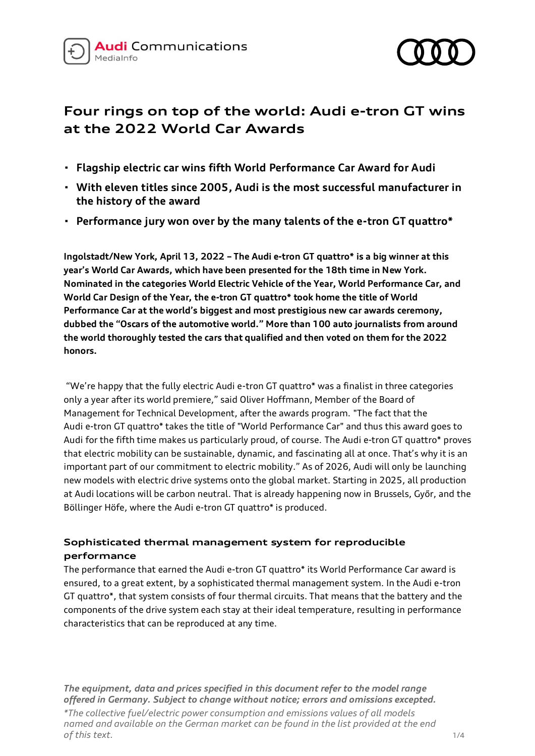



# **Four rings on top of the world: Audi e-tron GT wins at the 2022 World Car Awards**

- **· Flagship electric car wins fifth World Performance Car Award for Audi**
- **· With eleven titles since 2005, Audi is the most successful manufacturer in the history of the award**
- **· Performance jury won over by the many talents of the e-tron GT quattro\***

**Ingolstadt/New York, April 13, 2022 – The Audi e-tron GT quattro\* is a big winner at this year's World Car Awards, which have been presented for the 18th time in New York. Nominated in the categories World Electric Vehicle of the Year, World Performance Car, and World Car Design of the Year, the e-tron GT quattro\* took home the title of World Performance Car at the world's biggest and most prestigious new car awards ceremony, dubbed the "Oscars of the automotive world." More than 100 auto journalists from around the world thoroughly tested the cars that qualified and then voted on them for the 2022 honors.** 

"We're happy that the fully electric Audi e-tron GT quattro\* was a finalist in three categories only a year after its world premiere," said Oliver Hoffmann, Member of the Board of Management for Technical Development, after the awards program. "The fact that the Audi e-tron GT quattro\* takes the title of "World Performance Car" and thus this award goes to Audi for the fifth time makes us particularly proud, of course. The Audi e-tron GT quattro\* proves that electric mobility can be sustainable, dynamic, and fascinating all at once. That's why it is an important part of our commitment to electric mobility." As of 2026, Audi will only be launching new models with electric drive systems onto the global market. Starting in 2025, all production at Audi locations will be carbon neutral. That is already happening now in Brussels, Győr, and the Böllinger Höfe, where the Audi e-tron GT quattro\* is produced.

## **Sophisticated thermal management system for reproducible performance**

The performance that earned the Audi e-tron GT quattro\* its World Performance Car award is ensured, to a great extent, by a sophisticated thermal management system. In the Audi e-tron GT quattro\*, that system consists of four thermal circuits. That means that the battery and the components of the drive system each stay at their ideal temperature, resulting in performance characteristics that can be reproduced at any time.

*The equipment, data and prices specified in this document refer to the model range offered in Germany. Subject to change without notice; errors and omissions excepted.*

*\*The collective fuel/electric power consumption and emissions values of all models named and available on the German market can be found in the list provided at the end of this text.* 1/4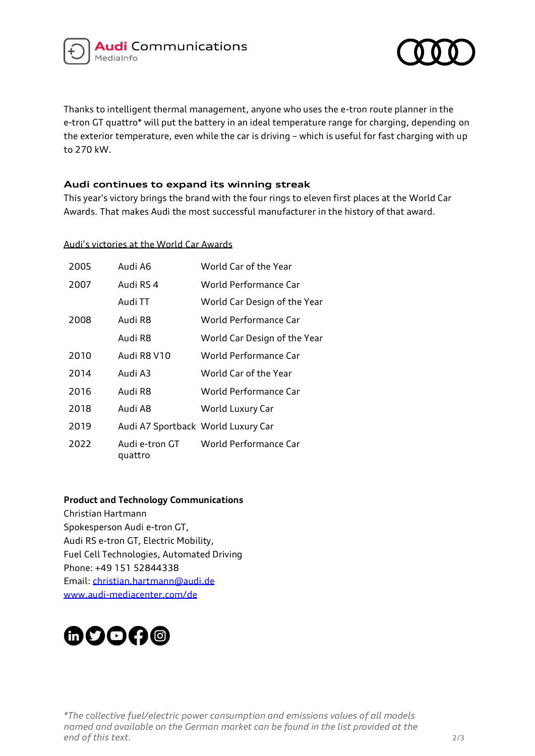



Thanks to intelligent thermal management, anyone who uses the e-tron route planner in the e-tron GT quattro\* will put the battery in an ideal temperature range for charging, depending on the exterior temperature, even while the car is driving – which is useful for fast charging with up to 270 kW.

## **Audi continues to expand its winning streak**

This year's victory brings the brand with the four rings to eleven first places at the World Car Awards. That makes Audi the most successful manufacturer in the history of that award.

Audi's victories at the World Car Awards

| 2005 | Audi A6                            | World Car of the Year        |
|------|------------------------------------|------------------------------|
| 2007 | Audi RS 4                          | World Performance Car        |
|      | Audi TT                            | World Car Design of the Year |
| 2008 | Audi R8                            | World Performance Car        |
|      | Audi R8                            | World Car Design of the Year |
| 2010 | Audi R8 V10                        | World Performance Car        |
| 2014 | Audi A3                            | World Car of the Year        |
| 2016 | Audi R8                            | World Performance Car        |
| 2018 | Audi A8                            | World Luxury Car             |
| 2019 | Audi A7 Sportback World Luxury Car |                              |
| 2022 | Audi e-tron GT<br>quattro          | World Performance Car        |

## **Product and Technology Communications**

Christian Hartmann Spokesperson Audi e-tron GT, Audi RS e-tron GT, Electric Mobility, Fuel Cell Technologies, Automated Driving Phone: +49 151 52844338 Email: [christian.hartmann@audi.de](mailto:christian.hartmann@audi.de) www.audi-mediacenter.com/de

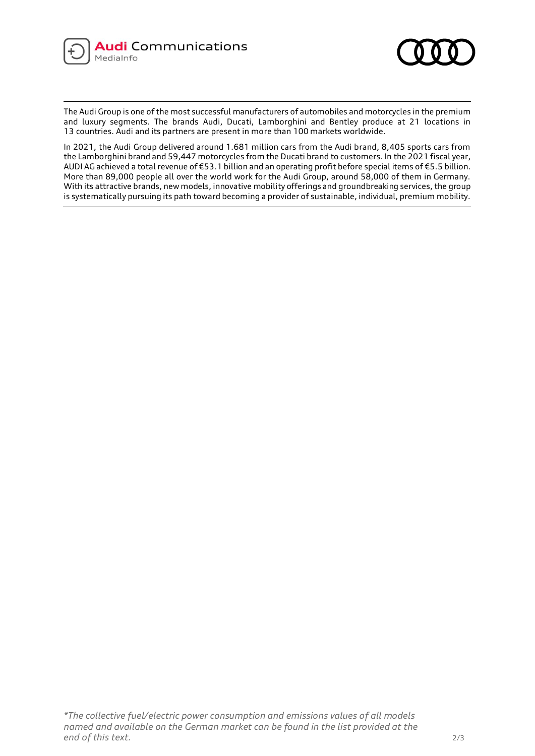



The Audi Group is one of the most successful manufacturers of automobiles and motorcycles in the premium and luxury segments. The brands Audi, Ducati, Lamborghini and Bentley produce at 21 locations in 13 countries. Audi and its partners are present in more than 100 markets worldwide.

In 2021, the Audi Group delivered around 1.681 million cars from the Audi brand, 8,405 sports cars from the Lamborghini brand and 59,447 motorcycles from the Ducati brand to customers. In the 2021 fiscal year, AUDI AG achieved a total revenue of €53.1 billion and an operating profit before special items of €5.5 billion. More than 89,000 people all over the world work for the Audi Group, around 58,000 of them in Germany. With its attractive brands, new models, innovative mobility offerings and groundbreaking services, the group is systematically pursuing its path toward becoming a provider of sustainable, individual, premium mobility.